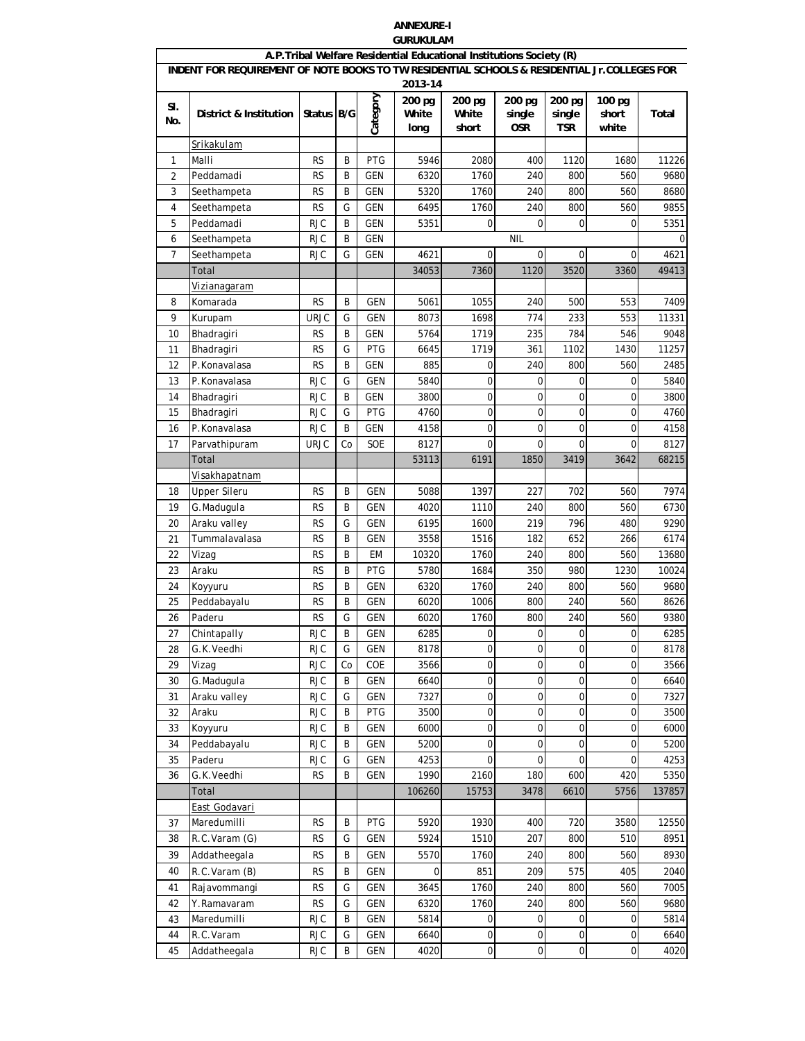## **ANNEXURE-I GURUKULAM**

|            |                                                                                              |             |    |            |                                    | A.P. Tribal Welfare Residential Educational Institutions Society (R) |                                |                                |                          |        |
|------------|----------------------------------------------------------------------------------------------|-------------|----|------------|------------------------------------|----------------------------------------------------------------------|--------------------------------|--------------------------------|--------------------------|--------|
|            | INDENT FOR REQUIREMENT OF NOTE BOOKS TO TW RESIDENTIAL SCHOOLS & RESIDENTIAL Jr.COLLEGES FOR |             |    |            |                                    |                                                                      |                                |                                |                          |        |
| SI.<br>No. | District & Institution                                                                       | Status B/G  |    | Category   | 2013-14<br>200 pg<br>White<br>long | 200 pg<br>White<br>short                                             | 200 pg<br>single<br><b>OSR</b> | 200 pg<br>single<br><b>TSR</b> | 100 pg<br>short<br>white | Total  |
|            |                                                                                              |             |    |            |                                    |                                                                      |                                |                                |                          |        |
| 1          | Srikakulam<br>Malli                                                                          | <b>RS</b>   | B  | PTG        | 5946                               | 2080                                                                 | 400                            | 1120                           | 1680                     | 11226  |
| 2          | Peddamadi                                                                                    | <b>RS</b>   | B  | <b>GEN</b> | 6320                               | 1760                                                                 | 240                            | 800                            | 560                      | 9680   |
| 3          | Seethampeta                                                                                  | <b>RS</b>   | B  | <b>GEN</b> | 5320                               | 1760                                                                 | 240                            | 800                            | 560                      | 8680   |
| 4          | Seethampeta                                                                                  | <b>RS</b>   | G  | <b>GEN</b> | 6495                               | 1760                                                                 | 240                            | 800                            | 560                      | 9855   |
| 5          | Peddamadi                                                                                    | <b>RJC</b>  | B  | <b>GEN</b> | 5351                               | $\mathbf 0$                                                          | $\Omega$                       | $\mathbf 0$                    | 0                        | 5351   |
| 6          | Seethampeta                                                                                  | <b>RJC</b>  | B  | <b>GEN</b> |                                    |                                                                      | <b>NIL</b>                     |                                |                          | 0      |
| 7          | Seethampeta                                                                                  | <b>RJC</b>  | G  | <b>GEN</b> | 4621                               | $\mathbf 0$                                                          | $\Omega$                       | 0                              | $\mathbf 0$              | 4621   |
|            | Total                                                                                        |             |    |            | 34053                              | 7360                                                                 | 1120                           | 3520                           | 3360                     | 49413  |
|            | Vizianagaram                                                                                 |             |    |            |                                    |                                                                      |                                |                                |                          |        |
| 8          | Komarada                                                                                     | <b>RS</b>   | B  | <b>GEN</b> | 5061                               | 1055                                                                 | 240                            | 500                            | 553                      | 7409   |
| 9          | Kurupam                                                                                      | <b>URJC</b> | G  | <b>GEN</b> | 8073                               | 1698                                                                 | 774                            | 233                            | 553                      | 11331  |
| 10         | Bhadragiri                                                                                   | <b>RS</b>   | B  | <b>GEN</b> | 5764                               | 1719                                                                 | 235                            | 784                            | 546                      | 9048   |
| 11         | Bhadragiri                                                                                   | <b>RS</b>   | G  | PTG        | 6645                               | 1719                                                                 | 361                            | 1102                           | 1430                     | 11257  |
| 12         | P.Konavalasa                                                                                 | <b>RS</b>   | B  | <b>GEN</b> | 885                                | 0                                                                    | 240                            | 800                            | 560                      | 2485   |
| 13         | P.Konavalasa                                                                                 | <b>RJC</b>  | G  | <b>GEN</b> | 5840                               | $\mathbf 0$                                                          | $\Omega$                       | $\mathbf 0$                    | 0                        | 5840   |
| 14         | Bhadragiri                                                                                   | <b>RJC</b>  | B  | <b>GEN</b> | 3800                               | $\mathbf 0$                                                          | 0                              | $\mathbf 0$                    | 0                        | 3800   |
| 15         | Bhadragiri                                                                                   | <b>RJC</b>  | G  | PTG        | 4760                               | $\mathbf 0$                                                          | $\mathbf 0$                    | $\mathbf 0$                    | $\mathbf 0$              | 4760   |
| 16         | P.Konavalasa                                                                                 | <b>RJC</b>  | B  | <b>GEN</b> | 4158                               | 0                                                                    | $\mathbf 0$                    | $\mathbf 0$                    | $\mathbf 0$              | 4158   |
| 17         | Parvathipuram                                                                                | <b>URJC</b> | Co | SOE        | 8127                               | $\mathbf 0$                                                          | 0                              | $\Omega$                       | $\mathbf 0$              | 8127   |
|            | Total                                                                                        |             |    |            | 53113                              | 6191                                                                 | 1850                           | 3419                           | 3642                     | 68215  |
|            | Visakhapatnam                                                                                |             |    |            |                                    |                                                                      |                                |                                |                          |        |
| 18         | <b>Upper Sileru</b>                                                                          | <b>RS</b>   | B  | <b>GEN</b> | 5088                               | 1397                                                                 | 227                            | 702                            | 560                      | 7974   |
| 19         | G.Madugula                                                                                   | <b>RS</b>   | B  | <b>GEN</b> | 4020                               | 1110                                                                 | 240                            | 800                            | 560                      | 6730   |
| 20         | Araku valley                                                                                 | <b>RS</b>   | G  | <b>GEN</b> | 6195                               | 1600                                                                 | 219                            | 796                            | 480                      | 9290   |
| 21         | Tummalavalasa                                                                                | <b>RS</b>   | B  | <b>GEN</b> | 3558                               | 1516                                                                 | 182                            | 652                            | 266                      | 6174   |
| 22         | Vizag                                                                                        | <b>RS</b>   | B  | EM         | 10320                              | 1760                                                                 | 240                            | 800                            | 560                      | 13680  |
| 23         | Araku                                                                                        | <b>RS</b>   | B  | <b>PTG</b> | 5780                               | 1684                                                                 | 350                            | 980                            | 1230                     | 10024  |
| 24         | Koyyuru                                                                                      | <b>RS</b>   | B  | <b>GEN</b> | 6320                               | 1760                                                                 | 240                            | 800                            | 560                      | 9680   |
| 25         | Peddabayalu                                                                                  | <b>RS</b>   | B  | <b>GEN</b> | 6020                               | 1006                                                                 | 800                            | 240                            | 560                      | 8626   |
| 26         | Paderu                                                                                       | <b>RS</b>   | G  | <b>GEN</b> | 6020                               | 1760                                                                 | 800                            | 240                            | 560                      | 9380   |
| 27         | Chintapally                                                                                  | <b>RJC</b>  | B  | <b>GEN</b> | 6285                               | $\overline{0}$                                                       | $\overline{0}$                 | $\mathbf 0$                    | $\overline{0}$           | 6285   |
| 28         | G.K.Veedhi                                                                                   | <b>RJC</b>  | G  | <b>GEN</b> | 8178                               | $\mathbf 0$                                                          | $\mathbf 0$                    | $\boldsymbol{0}$               | 0                        | 8178   |
| 29         | Vizag                                                                                        | <b>RJC</b>  | Co | COE        | 3566                               | 0                                                                    | 0                              | $\boldsymbol{0}$               | 0                        | 3566   |
| 30         | G.Madugula                                                                                   | <b>RJC</b>  | B  | GEN        | 6640                               | $\mathbf 0$                                                          | $\mathbf 0$                    | $\boldsymbol{0}$               | $\pmb{0}$                | 6640   |
| 31         | Araku valley                                                                                 | <b>RJC</b>  | G  | <b>GEN</b> | 7327                               | $\mathbf 0$                                                          | $\mathbf 0$                    | $\pmb{0}$                      | $\pmb{0}$                | 7327   |
| 32         | Araku                                                                                        | <b>RJC</b>  | B  | PTG        | 3500                               | $\mathbf 0$                                                          | $\mathbf 0$                    | $\pmb{0}$                      | $\boldsymbol{0}$         | 3500   |
| 33         | Koyyuru                                                                                      | <b>RJC</b>  | B  | <b>GEN</b> | 6000                               | $\mathbf 0$                                                          | $\mathbf 0$                    | $\pmb{0}$                      | $\mathbf 0$              | 6000   |
| 34         | Peddabayalu                                                                                  | <b>RJC</b>  | B  | <b>GEN</b> | 5200                               | 0                                                                    | 0                              | $\boldsymbol{0}$               | $\mathbf 0$              | 5200   |
| 35         | Paderu                                                                                       | <b>RJC</b>  | G  | GEN        | 4253                               | 0                                                                    | 0                              | $\mathbf 0$                    | 0                        | 4253   |
| 36         | G.K.Veedhi                                                                                   | <b>RS</b>   | B  | <b>GEN</b> | 1990                               | 2160                                                                 | 180                            | 600                            | 420                      | 5350   |
|            | Total                                                                                        |             |    |            | 106260                             | 15753                                                                | 3478                           | 6610                           | 5756                     | 137857 |
|            | East Godavari                                                                                |             |    |            |                                    |                                                                      |                                |                                |                          |        |
| 37         | Maredumilli                                                                                  | <b>RS</b>   | B  | PTG        | 5920                               | 1930                                                                 | 400                            | 720                            | 3580                     | 12550  |
| 38         | R.C.Varam (G)                                                                                | <b>RS</b>   | G  | GEN        | 5924                               | 1510                                                                 | 207                            | 800                            | 510                      | 8951   |
| 39         | Addatheegala                                                                                 | <b>RS</b>   | B  | GEN        | 5570                               | 1760                                                                 | 240                            | 800                            | 560                      | 8930   |
| 40         | R.C.Varam (B)                                                                                | <b>RS</b>   | B  | GEN        | 0                                  | 851                                                                  | 209                            | 575                            | 405                      | 2040   |
| 41         | Rajavommangi                                                                                 | <b>RS</b>   | G  | GEN        | 3645                               | 1760                                                                 | 240                            | 800                            | 560                      | 7005   |
| 42         | Y.Ramavaram                                                                                  | <b>RS</b>   | G  | GEN        | 6320                               | 1760                                                                 | 240                            | 800                            | 560                      | 9680   |
| 43         | Maredumilli                                                                                  | <b>RJC</b>  | B  | GEN        | 5814                               | 0                                                                    | 0                              | 0                              | 0                        | 5814   |
| 44         | R.C.Varam                                                                                    | <b>RJC</b>  | G  | GEN        | 6640                               | 0                                                                    | 0                              | 0                              | 0                        | 6640   |
| 45         | Addatheegala                                                                                 | <b>RJC</b>  | B  | GEN        | 4020                               | $\pmb{0}$                                                            | $\pmb{0}$                      | $\pmb{0}$                      | $\pmb{0}$                | 4020   |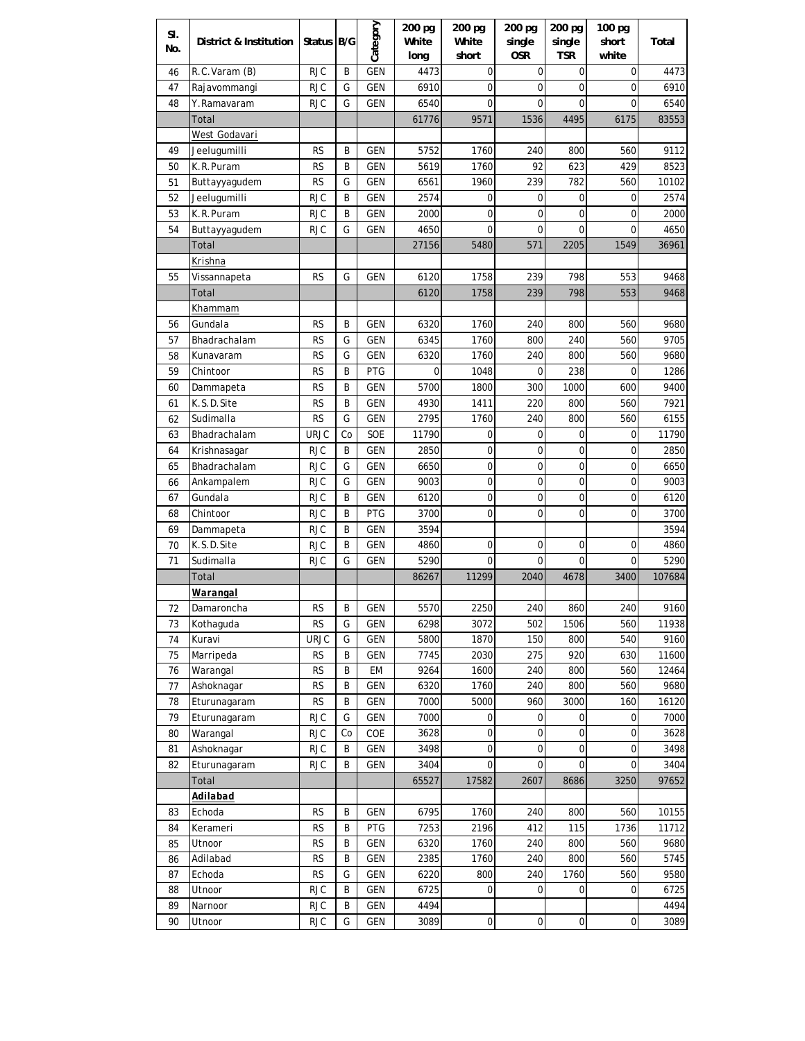| SI.      | District & Institution  | Status B/G             |        | Category          | 200 pg<br>White | 200 pg<br>White | 200 pg<br>single | 200 pg<br>single | 100 pg<br>short | Total         |
|----------|-------------------------|------------------------|--------|-------------------|-----------------|-----------------|------------------|------------------|-----------------|---------------|
| No.      |                         |                        |        |                   | long            | short           | <b>OSR</b>       | <b>TSR</b>       | white           |               |
| 46       | R.C.Varam (B)           | rjc                    | Β      | GEN               | 4473            | 0               | $\mathbf 0$      | 0                | 0               | 4473          |
| 47       | Rajavommangi            | <b>RJC</b>             | G      | <b>GEN</b>        | 6910            | 0               | $\mathbf 0$      | 0                | $\mathbf 0$     | 6910          |
| 48       | Y.Ramavaram             | <b>RJC</b>             | G      | <b>GEN</b>        | 6540            | 0               | $\mathbf 0$      | 0                | $\mathbf 0$     | 6540          |
|          | Total                   |                        |        |                   | 61776           | 9571            | 1536             | 4495             | 6175            | 83553         |
|          | West Godavari           |                        |        |                   |                 |                 |                  |                  |                 |               |
| 49       | Jeelugumilli            | <b>RS</b>              | В      | <b>GEN</b>        | 5752            | 1760            | 240              | 800              | 560             | 9112          |
| 50       | K.R.Puram               | <b>RS</b>              | B      | GEN               | 5619            | 1760            | 92               | 623              | 429             | 8523          |
| 51       | Buttayyagudem           | <b>RS</b>              | G      | <b>GEN</b>        | 6561            | 1960            | 239              | 782              | 560             | 10102         |
| 52       | Jeelugumilli            | <b>RJC</b>             | В      | GEN               | 2574            | 0               | 0                | 0                | 0               | 2574          |
| 53       | K.R.Puram               | <b>RJC</b>             | B      | GEN               | 2000            | 0               | $\mathbf 0$      | 0                | 0               | 2000          |
| 54       | Buttayyagudem           | <b>RJC</b>             | G      | <b>GEN</b>        | 4650            | 0               | 0                | $\mathbf 0$      | $\mathbf 0$     | 4650          |
|          | Total                   |                        |        |                   | 27156           | 5480            | 571              | 2205             | 1549            | 36961         |
|          | <u>Krishna</u>          |                        |        |                   |                 |                 |                  |                  |                 |               |
| 55       | Vissannapeta            | <b>RS</b>              | G      | <b>GEN</b>        | 6120            | 1758            | 239              | 798              | 553             | 9468          |
|          | Total                   |                        |        |                   | 6120            | 1758            | 239              | 798              | 553             | 9468          |
|          | <u>Khammam</u>          |                        |        |                   |                 |                 |                  |                  |                 |               |
| 56       | Gundala                 | <b>RS</b>              | В      | <b>GEN</b>        | 6320            | 1760            | 240              | 800              | 560             | 9680          |
| 57       | Bhadrachalam            | RS                     | G      | GEN               | 6345            | 1760            | 800              | 240              | 560             | 9705          |
| 58       | Kunavaram               | RS                     | G      | GEN               | 6320            | 1760            | 240              | 800              | 560             | 9680          |
| 59       | Chintoor                | <b>RS</b>              | B      | <b>PTG</b>        | 0               | 1048            | 0                | 238              | 0               | 1286          |
| 60       | Dammapeta               | <b>RS</b>              | B      | <b>GEN</b>        | 5700            | 1800            | 300              | 1000             | 600             | 9400          |
| 61       | K.S.D.Site              | RS                     | B      | GEN               | 4930            | 1411            | 220              | 800              | 560             | 7921          |
| 62       | Sudimalla               | <b>RS</b>              | G      | GEN               | 2795            | 1760            | 240              | 800              | 560             | 6155          |
| 63       | Bhadrachalam            | <b>URJC</b>            | Co     | SOE               | 11790           | 0               | 0                | 0                | 0               | 11790         |
| 64       | Krishnasagar            | <b>RJC</b>             | B      | <b>GEN</b>        | 2850            | $\mathbf 0$     | 0                | 0                | 0               | 2850          |
| 65       | Bhadrachalam            | <b>RJC</b>             | G      | <b>GEN</b>        | 6650            | $\mathbf 0$     | $\mathbf 0$      | 0                | 0               | 6650          |
| 66       | Ankampalem              | <b>RJC</b>             | G      | <b>GEN</b>        | 9003            | $\mathbf 0$     | $\mathbf 0$      | 0                | $\mathbf 0$     | 9003          |
| 67       | Gundala                 | <b>RJC</b>             | B      | <b>GEN</b>        | 6120            | $\mathbf 0$     | $\mathbf 0$      | 0                | $\mathbf 0$     | 6120          |
| 68       | Chintoor                | <b>RJC</b>             | B      | <b>PTG</b>        | 3700            | $\mathbf 0$     | $\mathbf 0$      | 0                | 0               | 3700          |
| 69       | Dammapeta               | <b>RJC</b>             | B      | <b>GEN</b>        | 3594            |                 |                  |                  |                 | 3594          |
| 70       | K.S.D.Site              | <b>RJC</b>             | B      | <b>GEN</b>        | 4860            | 0               | 0                | 0                | 0               | 4860          |
| 71       | Sudimalla               | <b>RJC</b>             | G      | <b>GEN</b>        | 5290            | 0               | 0                | 0                | 0               | 5290          |
|          | Total                   |                        |        |                   | 86267           | 11299           | 2040             | 4678             | 3400            | 107684        |
|          | <b>Warangal</b>         |                        |        |                   |                 |                 |                  |                  |                 |               |
| 72       | Damaroncha<br>Kothaguda | <b>RS</b><br><b>RS</b> | B      | <b>GEN</b>        | 5570<br>6298    | 2250<br>3072    | 240              | 860<br>1506      | 240             | 9160<br>11938 |
| 73       | Kuravi                  | <b>URJC</b>            | G<br>G | <b>GEN</b><br>GEN | 5800            | 1870            | 502<br>150       | 800              | 560<br>540      | 9160          |
| 74<br>75 | Marripeda               | <b>RS</b>              | В      | GEN               | 7745            | 2030            | 275              | 920              | 630             | 11600         |
| 76       | Warangal                | <b>RS</b>              | В      | EM                | 9264            | 1600            | 240              | 800              | 560             | 12464         |
| 77       | Ashoknagar              | <b>RS</b>              | В      | GEN               | 6320            | 1760            | 240              | 800              | 560             | 9680          |
| 78       | Eturunagaram            | <b>RS</b>              | В      | GEN               | 7000            | 5000            | 960              | 3000             | 160             | 16120         |
| 79       | Eturunagaram            | <b>RJC</b>             | G      | GEN               | 7000            | 0               | 0                | 0                | $\mathbf 0$     | 7000          |
| 80       | Warangal                | <b>RJC</b>             | Co     | COE               | 3628            | $\mathbf 0$     | 0                | 0                | $\mathbf 0$     | 3628          |
| 81       | Ashoknagar              | <b>RJC</b>             | В      | GEN               | 3498            | $\mathbf 0$     | 0                | 0                | $\mathbf 0$     | 3498          |
| 82       | Eturunagaram            | <b>RJC</b>             | В      | GEN               | 3404            | $\mathbf 0$     | 0                | $\mathbf 0$      | 0               | 3404          |
|          | Total                   |                        |        |                   | 65527           | 17582           | 2607             | 8686             | 3250            | 97652         |
|          | Adilabad                |                        |        |                   |                 |                 |                  |                  |                 |               |
| 83       | Echoda                  | <b>RS</b>              | В      | <b>GEN</b>        | 6795            | 1760            | 240              | 800              | 560             | 10155         |
| 84       | Kerameri                | <b>RS</b>              | В      | PTG               | 7253            | 2196            | 412              | 115              | 1736            | 11712         |
| 85       | Utnoor                  | <b>RS</b>              | В      | GEN               | 6320            | 1760            | 240              | 800              | 560             | 9680          |
| 86       | Adilabad                | <b>RS</b>              | В      | GEN               | 2385            | 1760            | 240              | 800              | 560             | 5745          |
| 87       | Echoda                  | <b>RS</b>              | G      | GEN               | 6220            | 800             | 240              | 1760             | 560             | 9580          |
| 88       | Utnoor                  | <b>RJC</b>             | В      | GEN               | 6725            | $\mathbf 0$     | 0                | 0                | $\mathbf 0$     | 6725          |
| 89       | Narnoor                 | <b>RJC</b>             | В      | GEN               | 4494            |                 |                  |                  |                 | 4494          |
| 90       | Utnoor                  | <b>RJC</b>             | G      | GEN               | 3089            | $\pmb{0}$       | $\pmb{0}$        | $\mathbf 0$      | 0               | 3089          |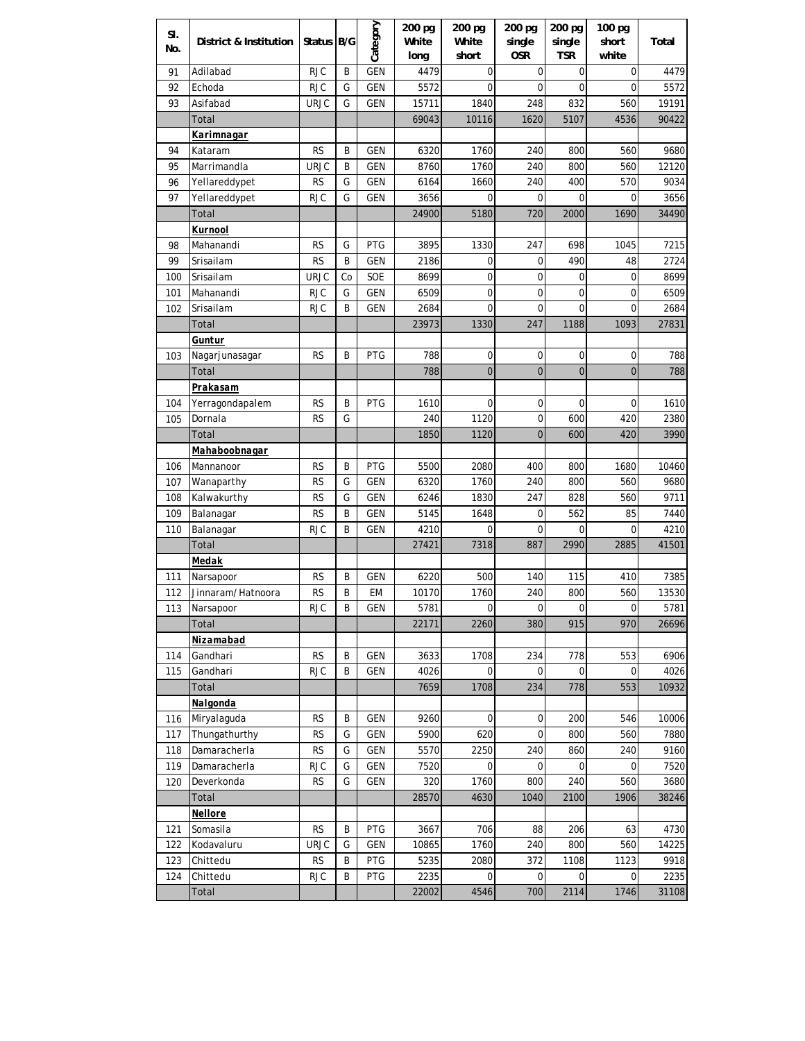| SI.<br>No. | District & Institution | Status B/G              |        | Category   | 200 pg<br>White | 200 pg<br>White | 200 pg<br>single | 200 pg<br>single | 100 pg<br>short | Total        |
|------------|------------------------|-------------------------|--------|------------|-----------------|-----------------|------------------|------------------|-----------------|--------------|
|            |                        |                         |        |            | long            | short           | <b>OSR</b>       | <b>TSR</b>       | white           |              |
| 91         | Adilabad               | RJC                     | B      | <b>GEN</b> | 4479            | 0               | 0                | 0                | 0               | 4479         |
| 92         | Echoda                 | <b>RJC</b>              | G      | <b>GEN</b> | 5572            | 0               | $\mathbf 0$      | $\mathbf 0$      | $\mathbf 0$     | 5572         |
| 93         | Asifabad               | URJC                    | G      | <b>GEN</b> | 15711           | 1840            | 248              | 832              | 560             | 19191        |
|            | Total                  |                         |        |            | 69043           | 10116           | 1620             | 5107             | 4536            | 90422        |
|            | Karimnagar             |                         |        |            |                 |                 |                  |                  |                 |              |
| 94         | Kataram                | RS                      | B      | <b>GEN</b> | 6320            | 1760            | 240              | 800              | 560             | 9680         |
| 95         | Marrimandla            | <b>URJC</b>             | B      | GEN        | 8760            | 1760            | 240              | 800              | 560             | 12120        |
| 96         | Yellareddypet          | <b>RS</b>               | G      | <b>GEN</b> | 6164            | 1660            | 240              | 400              | 570             | 9034         |
| 97         | Yellareddypet          | <b>RJC</b>              | G      | <b>GEN</b> | 3656            | 0               | 0                | 0                | 0               | 3656         |
|            | Total                  |                         |        |            | 24900           | 5180            | 720              | 2000             | 1690            | 34490        |
|            | Kurnool                |                         |        |            |                 |                 |                  |                  |                 |              |
| 98         | Mahanandi              | <b>RS</b>               | G      | <b>PTG</b> | 3895            | 1330            | 247              | 698              | 1045            | 7215         |
| 99         | Srisailam              | RS                      | B      | <b>GEN</b> | 2186            | 0               | 0                | 490              | 48              | 2724         |
| 100        | Srisailam              | <b>URJC</b>             | Co     | SOE        | 8699            | $\mathbf 0$     | 0                | 0                | 0               | 8699         |
| 101        | Mahanandi              | <b>RJC</b>              | G      | <b>GEN</b> | 6509            | $\mathbf 0$     | 0                | 0                | 0               | 6509         |
| 102        | Srisailam              | <b>RJC</b>              | B      | <b>GEN</b> | 2684            | $\mathbf 0$     | 0                | 0                | 0               | 2684         |
|            | Total                  |                         |        |            | 23973           | 1330            | 247              | 1188             | 1093            | 27831        |
|            | Guntur                 |                         |        |            |                 |                 |                  |                  |                 |              |
| 103        | Nagarjunasagar         | <b>RS</b>               | B      | <b>PTG</b> | 788             | 0               | 0                | 0                | 0               | 788          |
|            | Total                  |                         |        |            | 788             | $\overline{0}$  | $\mathbf 0$      | $\overline{0}$   | $\overline{0}$  | 788          |
|            | Prakasam               |                         |        |            |                 |                 |                  |                  |                 |              |
| 104        | Yerragondapalem        | RS                      | B      | <b>PTG</b> | 1610            | 0               | 0                | $\mathbf 0$      | 0               | 1610         |
| 105        | Dornala                | RS                      | G      |            | 240             | 1120            | 0                | 600              | 420             | 2380         |
|            | Total                  |                         |        |            | 1850            | 1120            | $\mathbf 0$      | 600              | 420             | 3990         |
|            | Mahaboobnagar          |                         |        |            |                 |                 |                  |                  |                 |              |
| 106        | Mannanoor              | <b>RS</b>               | B      | <b>PTG</b> | 5500            | 2080            | 400              | 800              | 1680            | 10460        |
| 107        | Wanaparthy             | RS                      | G      | <b>GEN</b> | 6320            | 1760            | 240              | 800              | 560             | 9680         |
| 108        | Kalwakurthy            | <b>RS</b>               | G      | <b>GEN</b> | 6246            | 1830            | 247              | 828              | 560             | 9711         |
| 109        | Balanagar              | <b>RS</b>               | B      | <b>GEN</b> | 5145            | 1648            | $\mathbf 0$      | 562              | 85              | 7440         |
| 110        | Balanagar              | <b>RJC</b>              | B      | <b>GEN</b> | 4210            | 0               | 0                | 0                | 0               | 4210         |
|            | Total                  |                         |        |            | 27421           | 7318            | 887              | 2990             | 2885            | 41501        |
|            | Medak                  |                         |        |            |                 |                 |                  |                  |                 |              |
| 111        | Narsapoor              | <b>RS</b>               | B      | <b>GEN</b> | 6220            | 500             | 140              | 115              | 410             | 7385         |
| 112        | Jinnaram/Hatnoora      | <b>RS</b>               | B      | EM         | 10170           | 1760            | 240              | 800              | 560             | 13530        |
| 113        | Narsapoor              | <b>RJC</b>              | B      | GEN        | 5781            | 0               | 0                | 0                | $\mathbf 0$     | 5781         |
|            | Total                  |                         |        |            | 22171           | 2260            | 380              | 915              | 970             | 26696        |
|            | Nizamabad              |                         |        |            |                 |                 |                  |                  |                 |              |
| 114        | Gandhari               | <b>RS</b>               | B      | <b>GEN</b> | 3633            | 1708            | 234              | 778              | 553             | 6906         |
| 115        | Gandhari               | <b>RJC</b>              | B      | <b>GEN</b> | 4026            | 0               | 0                | 0                | 0               | 4026         |
|            | Total                  |                         |        |            | 7659            | 1708            | 234              | 778              | 553             | 10932        |
|            | Nalgonda               |                         |        |            |                 |                 |                  |                  |                 |              |
| 116        | Miryalaguda            | <b>RS</b>               | B      | <b>GEN</b> | 9260            | 0               | 0                | 200              | 546             | 10006        |
| 117        | Thungathurthy          | <b>RS</b>               | G      | <b>GEN</b> | 5900            | 620             | 0                | 800              | 560             | 7880         |
| 118        | Damaracherla           | <b>RS</b>               | G      | <b>GEN</b> | 5570            | 2250            | 240              | 860              | 240             | 9160         |
| 119        | Damaracherla           | <b>RJC</b>              | G      | <b>GEN</b> | 7520            | 0               | 0                | 0                | 0               | 7520         |
| 120        | Deverkonda             | <b>RS</b>               | G      | <b>GEN</b> | 320             | 1760            | 800              | 240              | 560             | 3680         |
|            | Total                  |                         |        |            | 28570           | 4630            | 1040             | 2100             | 1906            | 38246        |
|            | Nellore                | <b>RS</b>               |        |            |                 |                 |                  |                  |                 |              |
| 121        | Somasila               | <b>URJC</b>             | B      | PTG        | 3667            | 706             | 88               | 206              | 63              | 4730         |
| 122        | Kodavaluru             |                         | G      | <b>GEN</b> | 10865           | 1760            | 240              | 800              | 560             | 14225        |
| 123<br>124 | Chittedu<br>Chittedu   | <b>RS</b><br><b>RJC</b> | B<br>B | PTG<br>PTG | 5235<br>2235    | 2080            | 372              | 1108             | 1123            | 9918<br>2235 |
|            | Total                  |                         |        |            |                 | 0<br>4546       | 0<br>700         | 0<br>2114        | 0<br>1746       | 31108        |
|            |                        |                         |        |            | 22002           |                 |                  |                  |                 |              |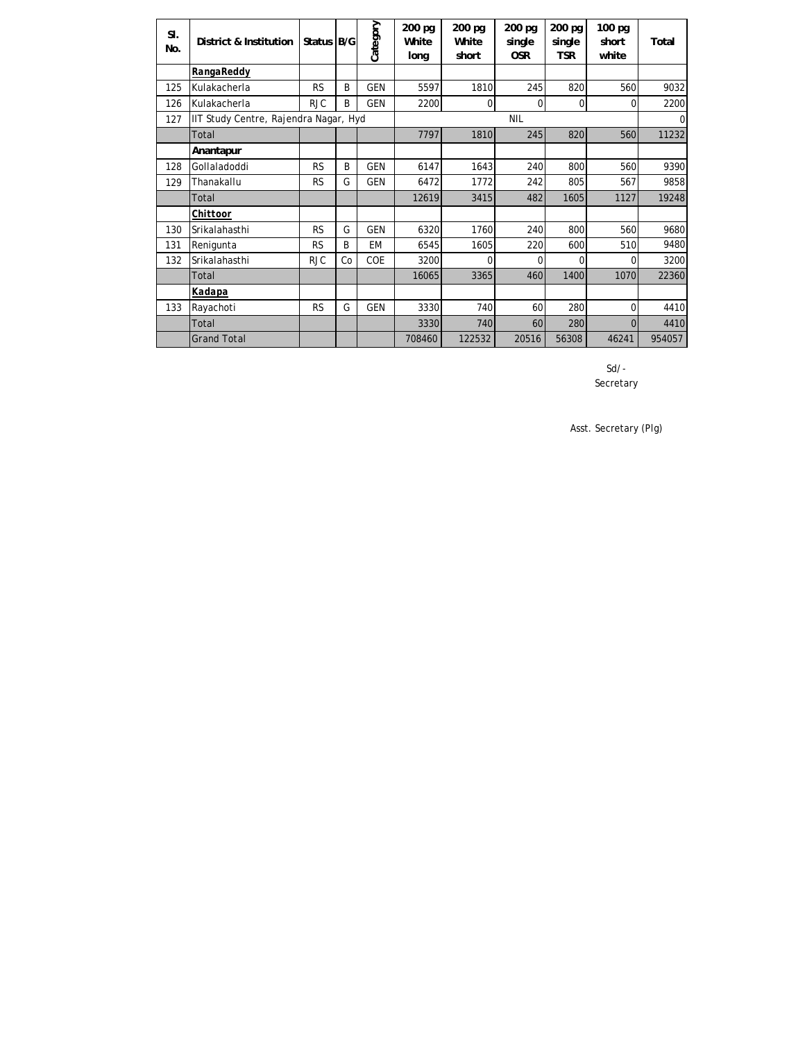| SI.<br>No. | District & Institution                | Status B/G |    | Category   | 200 pg<br>White<br>long | 200 pg<br>White<br>short | 200 pg<br>single<br><b>OSR</b> | 200 pg<br>single<br><b>TSR</b> | 100 pg<br>short<br>white | Total    |
|------------|---------------------------------------|------------|----|------------|-------------------------|--------------------------|--------------------------------|--------------------------------|--------------------------|----------|
|            | RangaReddy                            |            |    |            |                         |                          |                                |                                |                          |          |
| 125        | Kulakacherla                          | <b>RS</b>  | B  | <b>GEN</b> | 5597                    | 1810                     | 245                            | 820                            | 560                      | 9032     |
| 126        | Kulakacherla                          | <b>RJC</b> | B  | <b>GEN</b> | 2200                    | 0                        | 0                              | 0                              | 0                        | 2200     |
| 127        | IIT Study Centre, Rajendra Nagar, Hyd |            |    |            |                         |                          | <b>NIL</b>                     |                                |                          | $\Omega$ |
|            | Total                                 |            |    |            | 7797                    | 1810                     | 245                            | 820                            | 560                      | 11232    |
|            | Anantapur                             |            |    |            |                         |                          |                                |                                |                          |          |
| 128        | Gollaladoddi                          | <b>RS</b>  | B  | <b>GEN</b> | 6147                    | 1643                     | 240                            | 800                            | 560                      | 9390     |
| 129        | Thanakallu                            | <b>RS</b>  | G  | <b>GEN</b> | 6472                    | 1772                     | 242                            | 805                            | 567                      | 9858     |
|            | Total                                 |            |    |            | 12619                   | 3415                     | 482                            | 1605                           | 1127                     | 19248    |
|            | Chittoor                              |            |    |            |                         |                          |                                |                                |                          |          |
| 130        | Srikalahasthi                         | <b>RS</b>  | G  | <b>GEN</b> | 6320                    | 1760                     | 240                            | 800                            | 560                      | 9680     |
| 131        | Renigunta                             | <b>RS</b>  | B  | <b>EM</b>  | 6545                    | 1605                     | 220                            | 600                            | 510                      | 9480     |
| 132        | Srikalahasthi                         | <b>RJC</b> | Co | COE        | 3200                    | $\Omega$                 | $\Omega$                       | $\Omega$                       | 0                        | 3200     |
|            | Total                                 |            |    |            | 16065                   | 3365                     | 460                            | 1400                           | 1070                     | 22360    |
|            | Kadapa                                |            |    |            |                         |                          |                                |                                |                          |          |
| 133        | Rayachoti                             | <b>RS</b>  | G  | <b>GEN</b> | 3330                    | 740                      | 60                             | 280                            | 0                        | 4410     |
|            | Total                                 |            |    |            | 3330                    | 740                      | 60                             | 280                            | 0                        | 4410     |
|            | <b>Grand Total</b>                    |            |    |            | 708460                  | 122532                   | 20516                          | 56308                          | 46241                    | 954057   |

Secretary Sd/-

Asst. Secretary (Plg)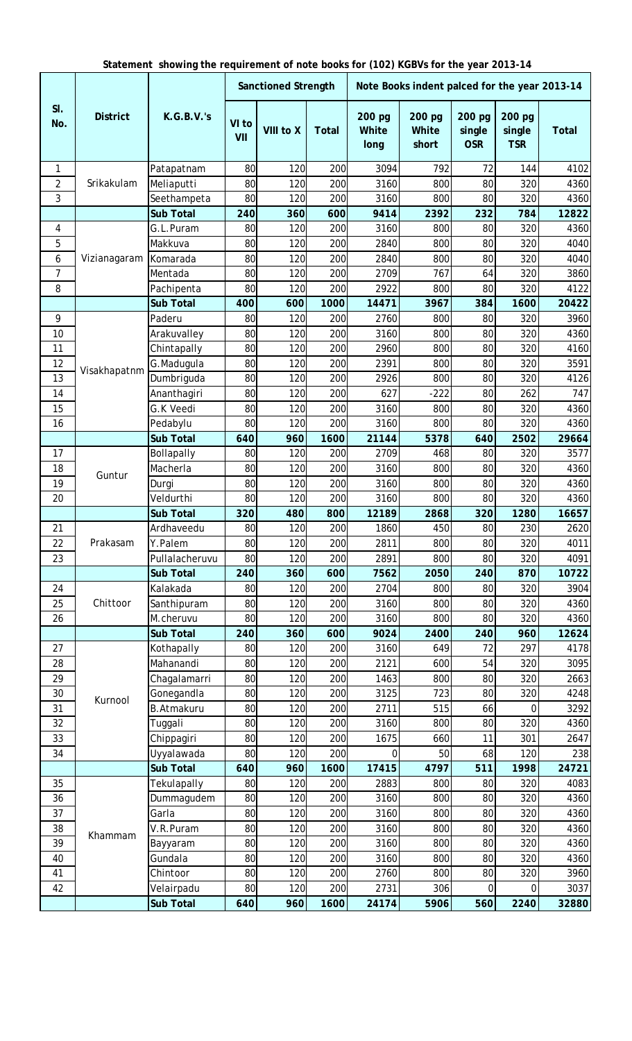|  |  |  | Statement showing the requirement of note books for (102) KGBVs for the year 2013-14 |  |  |  |
|--|--|--|--------------------------------------------------------------------------------------|--|--|--|
|--|--|--|--------------------------------------------------------------------------------------|--|--|--|

|                |                 |                   |              | <b>Sanctioned Strength</b> |              |                         | Note Books indent palced for the year 2013-14 |                                |                                |              |
|----------------|-----------------|-------------------|--------------|----------------------------|--------------|-------------------------|-----------------------------------------------|--------------------------------|--------------------------------|--------------|
| SI.<br>No.     | <b>District</b> | <b>K.G.B.V.'s</b> | VI to<br>VII | VIII to X                  | <b>Total</b> | 200 pg<br>White<br>long | 200 pg<br><b>White</b><br>short               | 200 pg<br>single<br><b>OSR</b> | 200 pg<br>single<br><b>TSR</b> | <b>Total</b> |
| 1              |                 | Patapatnam        | 80           | 120                        | 200          | 3094                    | 792                                           | 72                             | 144                            | 4102         |
| $\overline{2}$ | Srikakulam      | Meliaputti        | 80           | 120                        | 200          | 3160                    | 800                                           | 80                             | 320                            | 4360         |
| 3              |                 | Seethampeta       | 80           | 120                        | 200          | 3160                    | 800                                           | 80                             | 320                            | 4360         |
|                |                 | <b>Sub Total</b>  | 240          | 360                        | 600          | 9414                    | 2392                                          | 232                            | 784                            | 12822        |
| 4              |                 | G.L.Puram         | 80           | 120                        | 200          | 3160                    | 800                                           | 80                             | 320                            | 4360         |
| 5              |                 | Makkuva           | 80           | 120                        | 200          | 2840                    | 800                                           | 80                             | 320                            | 4040         |
| 6              | Vizianagaram    | Komarada          | 80           | 120                        | 200          | 2840                    | 800                                           | 80                             | 320                            | 4040         |
| 7              |                 | Mentada           | 80           | 120                        | 200          | 2709                    | 767                                           | 64                             | 320                            | 3860         |
| 8              |                 | Pachipenta        | 80           | 120                        | 200          | 2922                    | 800                                           | 80                             | 320                            | 4122         |
|                |                 | <b>Sub Total</b>  | 400          | 600                        | 1000         | 14471                   | 3967                                          | 384                            | 1600                           | 20422        |
| 9              |                 | Paderu            | 80           | 120                        | 200          | 2760                    | 800                                           | 80                             | 320                            | 3960         |
| 10             |                 | Arakuvalley       | 80           | 120                        | 200          | 3160                    | 800                                           | 80                             | 320                            | 4360         |
| 11             |                 | Chintapally       | 80           | 120                        | 200          | 2960                    | 800                                           | 80                             | 320                            | 4160         |
| 12             | Visakhapatnm    | G.Madugula        | 80           | 120                        | 200          | 2391                    | 800                                           | 80                             | 320                            | 3591         |
| 13             |                 | Dumbriguda        | 80           | 120                        | 200          | 2926                    | 800                                           | 80                             | 320                            | 4126         |
| 14             |                 | Ananthagiri       | 80           | 120                        | 200          | 627                     | $-222$                                        | 80                             | 262                            | 747          |
| 15             |                 | G.K Veedi         | 80           | 120                        | 200          | 3160                    | 800                                           | 80                             | 320                            | 4360         |
| 16             |                 | Pedabylu          | 80           | 120                        | 200          | 3160                    | 800                                           | 80                             | 320                            | 4360         |
|                |                 | <b>Sub Total</b>  | 640          | 960                        | 1600         | 21144                   | 5378                                          | 640                            | 2502                           | 29664        |
| 17             |                 | Bollapally        | 80           | 120                        | 200          | 2709                    | 468                                           | 80                             | 320                            | 3577         |
| 18             |                 | Macherla          | 80           | 120                        | 200          | 3160                    | 800                                           | 80                             | 320                            | 4360         |
| 19             | Guntur          | Durgi             | 80           | 120                        | 200          | 3160                    | 800                                           | 80                             | 320                            | 4360         |
| 20             |                 | Veldurthi         | 80           | 120                        | 200          | 3160                    | 800                                           | 80                             | 320                            | 4360         |
|                |                 | <b>Sub Total</b>  | 320          | 480                        | 800          | 12189                   | 2868                                          | 320                            | 1280                           | 16657        |
| 21             |                 | Ardhaveedu        | 80           | 120                        | 200          | 1860                    | 450                                           | 80                             | 230                            | 2620         |
| 22             | Prakasam        | Y.Palem           | 80           | 120                        | 200          | 2811                    | 800                                           | 80                             | 320                            | 4011         |
| 23             |                 | Pullalacheruvu    | 80           | 120                        | 200          | 2891                    | 800                                           | 80                             | 320                            | 4091         |
|                |                 | <b>Sub Total</b>  | 240          | 360                        | 600          | 7562                    | 2050                                          | 240                            | 870                            | 10722        |
| 24             |                 | Kalakada          | 80           | 120                        | 200          | 2704                    | 800                                           | 80                             | 320                            | 3904         |
| 25             | Chittoor        | Santhipuram       | 80           | 120                        | 200          | 3160                    | 800                                           | 80                             | 320                            | 4360         |
| 26             |                 | M.cheruvu         | 80           | 120                        | 200          | 3160                    | 800                                           | 80                             | 320                            | 4360         |
|                |                 | <b>Sub Total</b>  | 240          | 360                        | 600          | 9024                    | 2400                                          | 240                            | 960                            | 12624        |
| 27             |                 | Kothapally        | 80           | 120                        | 200          | 3160                    | 649                                           | 72                             | 297                            | 4178         |
| 28             |                 | Mahanandi         | 80           | 120                        | 200          | 2121                    | 600                                           | 54                             | 320                            | 3095         |
| 29             |                 | Chagalamarri      | 80           | 120                        | 200          | 1463                    | 800                                           | 80                             | 320                            | 2663         |
| 30             | Kurnool         | Gonegandla        | 80           | 120                        | 200          | 3125                    | 723                                           | 80                             | 320                            | 4248         |
| 31             |                 | <b>B.Atmakuru</b> | 80           | 120                        | 200          | 2711                    | 515                                           | 66                             | 0                              | 3292         |
| 32             |                 | Tuggali           | 80           | 120                        | 200          | 3160                    | 800                                           | 80                             | 320                            | 4360         |
| 33             |                 | Chippagiri        | 80           | 120                        | 200          | 1675                    | 660                                           | 11                             | 301                            | 2647         |
| 34             |                 | Uyyalawada        | 80           | 120                        | 200          | 0                       | 50                                            | 68                             | 120                            | 238          |
|                |                 | <b>Sub Total</b>  | 640          | 960                        | 1600         | 17415                   | 4797                                          | 511                            | 1998                           | 24721        |
| 35             |                 | Tekulapally       | 80           | 120                        | 200          | 2883                    | 800                                           | 80                             | 320                            | 4083         |
| 36             |                 | Dummagudem        | 80           | 120                        | 200          | 3160                    | 800                                           | 80                             | 320                            | 4360         |
| 37             |                 | Garla             | 80           | 120                        | 200          | 3160                    | 800                                           | 80                             | 320                            | 4360         |
| 38             | Khammam         | V.R.Puram         | 80           | 120                        | 200          | 3160                    | 800                                           | 80                             | 320                            | 4360         |
| 39             |                 | Bayyaram          | 80           | 120                        | 200          | 3160                    | 800                                           | 80                             | 320                            | 4360         |
| 40             |                 | Gundala           | 80           | 120                        | 200          | 3160                    | 800                                           | 80                             | 320                            | 4360         |
| 41             |                 | Chintoor          | 80           | 120                        | 200          | 2760                    | 800                                           | 80                             | 320                            | 3960         |
| 42             |                 | Velairpadu        | 80           | 120                        | 200          | 2731                    | 306                                           | 0                              | 0                              | 3037         |
|                |                 | <b>Sub Total</b>  | 640          | 960                        | 1600         | 24174                   | 5906                                          | 560                            | 2240                           | 32880        |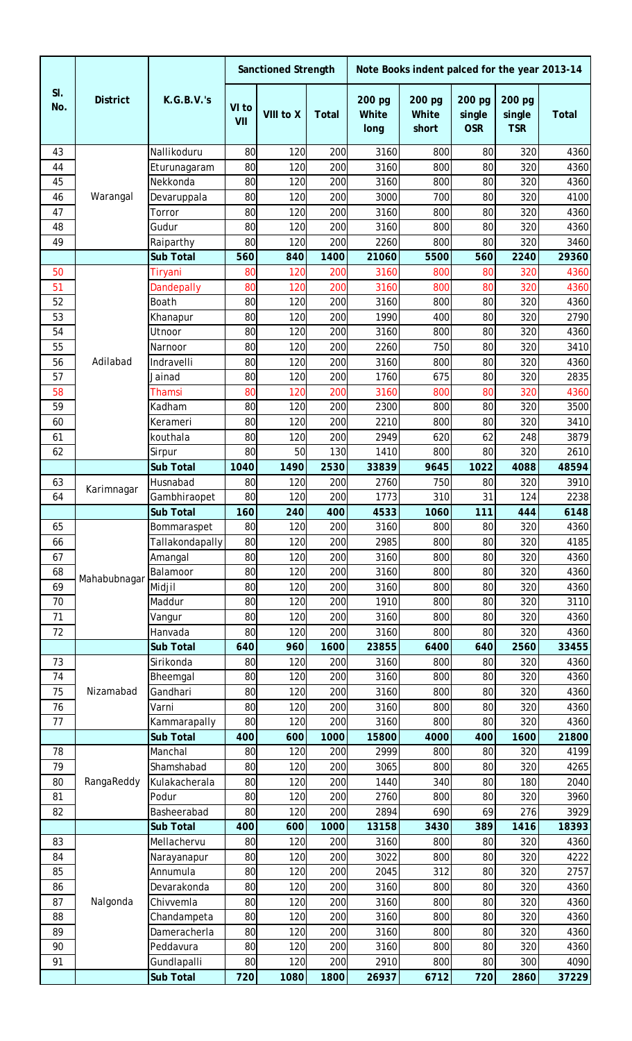|            |                 |                             |              | <b>Sanctioned Strength</b> |              |                         | Note Books indent palced for the year 2013-14 |                                |                                |               |
|------------|-----------------|-----------------------------|--------------|----------------------------|--------------|-------------------------|-----------------------------------------------|--------------------------------|--------------------------------|---------------|
| SI.<br>No. | <b>District</b> | <b>K.G.B.V.'s</b>           | VI to<br>VII | VIII to X                  | <b>Total</b> | 200 pg<br>White<br>long | 200 pg<br><b>White</b><br>short               | 200 pg<br>single<br><b>OSR</b> | 200 pg<br>single<br><b>TSR</b> | <b>Total</b>  |
| 43         |                 | Nallikoduru                 | 80           | 120                        | 200          | 3160                    | 800                                           | 80                             | 320                            | 4360          |
| 44         |                 | Eturunagaram                | 80           | 120                        | 200          | 3160                    | 800                                           | 80                             | 320                            | 4360          |
| 45         |                 | Nekkonda                    | 80           | 120                        | 200          | 3160                    | 800                                           | 80                             | 320                            | 4360          |
| 46         | Warangal        | Devaruppala                 | 80           | 120                        | 200          | 3000                    | 700                                           | 80                             | 320                            | 4100          |
| 47         |                 | Torror                      | 80           | 120                        | 200          | 3160                    | 800                                           | 80                             | 320                            | 4360          |
| 48         |                 | Gudur                       | 80           | 120                        | 200          | 3160                    | 800                                           | 80                             | 320                            | 4360          |
| 49         |                 | Raiparthy                   | 80           | 120                        | 200          | 2260                    | 800                                           | 80                             | 320                            | 3460          |
|            |                 | <b>Sub Total</b>            | 560          | 840                        | 1400         | 21060                   | 5500                                          | 560                            | 2240                           | 29360         |
| 50         |                 | Tiryani                     | 80           | 120                        | 200          | 3160                    | 800                                           | 80                             | 320                            | 4360          |
| 51         |                 | <b>Dandepally</b>           | 80           | 120                        | 200          | 3160                    | 800                                           | 80                             | 320                            | 4360          |
| 52<br>53   |                 | Boath                       | 80           | 120                        | 200          | 3160<br>1990            | 800                                           | 80                             | 320                            | 4360          |
| 54         |                 | Khanapur<br>Utnoor          | 80<br>80     | 120<br>120                 | 200<br>200   | 3160                    | 400<br>800                                    | 80<br>80                       | 320<br>320                     | 2790<br>4360  |
| 55         |                 | Narnoor                     | 80           | 120                        | 200          | 2260                    | 750                                           | 80                             | 320                            | 3410          |
| 56         | Adilabad        | Indravelli                  | 80           | 120                        | 200          | 3160                    | 800                                           | 80                             | 320                            | 4360          |
| 57         |                 | Jainad                      | 80           | 120                        | 200          | 1760                    | 675                                           | 80                             | 320                            | 2835          |
| 58         |                 | Thamsi                      | 80           | 120                        | 200          | 3160                    | 800                                           | 80                             | 320                            | 4360          |
| 59         |                 | Kadham                      | 80           | 120                        | 200          | 2300                    | 800                                           | 80                             | 320                            | 3500          |
| 60         |                 | Kerameri                    | 80           | 120                        | 200          | 2210                    | 800                                           | 80                             | 320                            | 3410          |
| 61         |                 | kouthala                    | 80           | 120                        | 200          | 2949                    | 620                                           | 62                             | 248                            | 3879          |
| 62         |                 | Sirpur                      | 80           | 50                         | 130          | 1410                    | 800                                           | 80                             | 320                            | 2610          |
|            |                 | <b>Sub Total</b>            | 1040         | 1490                       | 2530         | 33839                   | 9645                                          | 1022                           | 4088                           | 48594         |
| 63         |                 | Husnabad                    | 80           | 120                        | 200          | 2760                    | 750                                           | 80                             | 320                            | 3910          |
| 64         | Karimnagar      | Gambhiraopet                | 80           | 120                        | 200          | 1773                    | 310                                           | 31                             | 124                            | 2238          |
|            |                 | <b>Sub Total</b>            | 160          | 240                        | 400          | 4533                    | 1060                                          | 111                            | 444                            | 6148          |
| 65         |                 | Bommaraspet                 | 80           | 120                        | 200          | 3160                    | 800                                           | 80                             | 320                            | 4360          |
| 66         |                 | Tallakondapally             | 80           | 120                        | 200          | 2985                    | 800                                           | 80                             | 320                            | 4185          |
| 67         |                 | Amangal                     | 80           | 120                        | 200          | 3160                    | 800                                           | 80                             | 320                            | 4360          |
| 68         | Mahabubnagar    | Balamoor                    | 80           | 120                        | 200          | 3160                    | 800                                           | 80                             | 320                            | 4360          |
| 69         |                 | Midjil                      | 80           | 120                        | 200          | 3160                    | 800                                           | 80                             | 320                            | 4360          |
| 70         |                 | Maddur                      | 80           | 120                        | 200          | 1910                    | 800                                           | 80                             | 320                            | 3110          |
| 71         |                 | Vangur                      | 80           | 120                        | 200          | 3160                    | 800                                           | 80                             | 320                            | 4360          |
| 72         |                 | Hanvada                     | 80           | 120                        | 200          | 3160                    | 800                                           | 80                             | 320                            | 4360          |
|            |                 | <b>Sub Total</b>            | 640          | 960                        | 1600         | 23855                   | 6400                                          | 640                            | 2560                           | 33455         |
| 73         |                 | Sirikonda                   | 80           | 120                        | 200          | 3160                    | 800                                           | 80                             | 320                            | 4360          |
| 74         |                 | Bheemgal                    | 80           | 120                        | 200          | 3160                    | 800                                           | 80                             | 320                            | 4360          |
| 75         | Nizamabad       | Gandhari                    | 80           | 120                        | 200          | 3160                    | 800                                           | 80                             | 320                            | 4360          |
| 76         |                 | Varni                       | 80           | 120                        | 200          | 3160                    | 800                                           | 80                             | 320                            | 4360          |
| 77         |                 | Kammarapally                | 80           | 120                        | 200          | 3160                    | 800                                           | 80                             | 320                            | 4360          |
| 78         |                 | <b>Sub Total</b><br>Manchal | 400<br>80    | 600<br>120                 | 1000<br>200  | 15800<br>2999           | 4000<br>800                                   | 400<br>80                      | 1600<br>320                    | 21800<br>4199 |
| 79         |                 | Shamshabad                  | 80           | 120                        | 200          | 3065                    | 800                                           | 80                             | 320                            | 4265          |
| 80         | RangaReddy      | Kulakacherala               | 80           | 120                        | 200          | 1440                    | 340                                           | 80                             | 180                            | 2040          |
| 81         |                 | Podur                       | 80           | 120                        | 200          | 2760                    | 800                                           | 80                             | 320                            | 3960          |
| 82         |                 | Basheerabad                 | 80           | 120                        | 200          | 2894                    | 690                                           | 69                             | 276                            | 3929          |
|            |                 | <b>Sub Total</b>            | 400          | 600                        | 1000         | 13158                   | 3430                                          | 389                            | 1416                           | 18393         |
| 83         |                 | Mellachervu                 | 80           | 120                        | 200          | 3160                    | 800                                           | 80                             | 320                            | 4360          |
| 84         |                 | Narayanapur                 | 80           | 120                        | 200          | 3022                    | 800                                           | 80                             | 320                            | 4222          |
| 85         |                 | Annumula                    | 80           | 120                        | 200          | 2045                    | 312                                           | 80                             | 320                            | 2757          |
| 86         |                 | Devarakonda                 | 80           | 120                        | 200          | 3160                    | 800                                           | 80                             | 320                            | 4360          |
| 87         | Nalgonda        | Chivvemla                   | 80           | 120                        | 200          | 3160                    | 800                                           | 80                             | 320                            | 4360          |
| 88         |                 | Chandampeta                 | 80           | 120                        | 200          | 3160                    | 800                                           | 80                             | 320                            | 4360          |
| 89         |                 | Dameracherla                | 80           | 120                        | 200          | 3160                    | 800                                           | 80                             | 320                            | 4360          |
| 90         |                 | Peddavura                   | 80           | 120                        | 200          | 3160                    | 800                                           | 80                             | 320                            | 4360          |
| 91         |                 | Gundlapalli                 | 80           | 120                        | 200          | 2910                    | 800                                           | 80                             | 300                            | 4090          |
|            |                 | <b>Sub Total</b>            | 720          | 1080                       | 1800         | 26937                   | 6712                                          | 720                            | 2860                           | 37229         |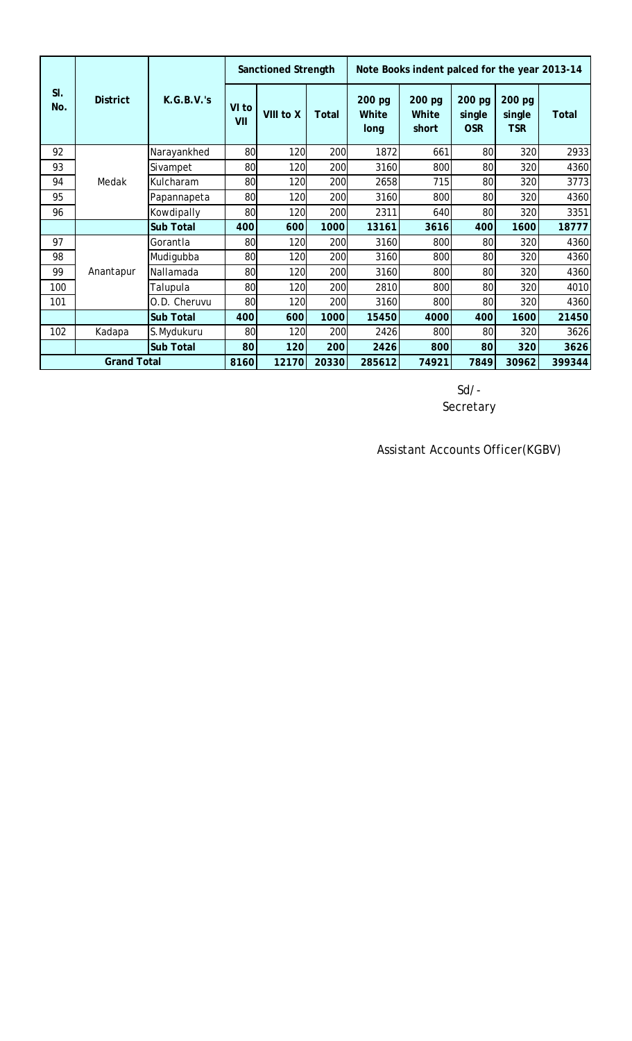|            |                    |                   |              | <b>Sanctioned Strength</b> |              |                                |                                 |                                | Note Books indent palced for the year 2013-14 |        |  |
|------------|--------------------|-------------------|--------------|----------------------------|--------------|--------------------------------|---------------------------------|--------------------------------|-----------------------------------------------|--------|--|
| SI.<br>No. | <b>District</b>    | <b>K.G.B.V.'s</b> | VI to<br>VII | VIII to X                  | <b>Total</b> | 200 pg<br><b>White</b><br>long | 200 pg<br><b>White</b><br>short | 200 pg<br>single<br><b>OSR</b> | 200 pg<br>single<br><b>TSR</b>                | Total  |  |
| 92         |                    | Narayankhed       | 80           | 120                        | 200          | 1872                           | 661                             | 80                             | 320                                           | 2933   |  |
| 93         |                    | Sivampet          | 80           | 120                        | 200          | 3160                           | 800                             | 80                             | 320                                           | 4360   |  |
| 94         | Medak              | Kulcharam         | 80           | 120                        | 200          | 2658                           | 715                             | 80                             | 320                                           | 3773   |  |
| 95         |                    | Papannapeta       | 80           | 120                        | 200          | 3160                           | 800                             | 80                             | 320                                           | 4360   |  |
| 96         |                    | Kowdipally        | 80           | 120                        | 200          | 2311                           | 640                             | 80                             | 320                                           | 3351   |  |
|            |                    | <b>Sub Total</b>  | 400          | 600                        | 1000         | 13161                          | 3616                            | 400                            | 1600                                          | 18777  |  |
| 97         |                    | Gorantla          | 80           | 120                        | 200          | 3160                           | 800                             | 80                             | 320                                           | 4360   |  |
| 98         |                    | Mudigubba         | 80           | 120                        | 200          | 3160                           | 800                             | 80                             | 320                                           | 4360   |  |
| 99         | Anantapur          | Nallamada         | 80           | 120                        | 200          | 3160                           | 800                             | 80                             | 320                                           | 4360   |  |
| 100        |                    | Talupula          | 80           | 120                        | 200          | 2810                           | 800                             | 80                             | 320                                           | 4010   |  |
| 101        |                    | O.D. Cheruvu      | 80           | 120                        | 200          | 3160                           | 800                             | 80                             | 320                                           | 4360   |  |
|            |                    | <b>Sub Total</b>  | 400          | 600                        | 1000         | 15450                          | 4000                            | 400                            | 1600                                          | 21450  |  |
| 102        | Kadapa             | S.Mydukuru        | 80           | 120                        | 200          | 2426                           | 800                             | 80                             | 320                                           | 3626   |  |
|            |                    | <b>Sub Total</b>  | 80           | 120                        | 200          | 2426                           | 800                             | 80                             | 320                                           | 3626   |  |
|            | <b>Grand Total</b> |                   | 8160         | 12170                      | 20330        | 285612                         | 74921                           | 7849                           | 30962                                         | 399344 |  |

Sd/- Secretary

Assistant Accounts Officer(KGBV)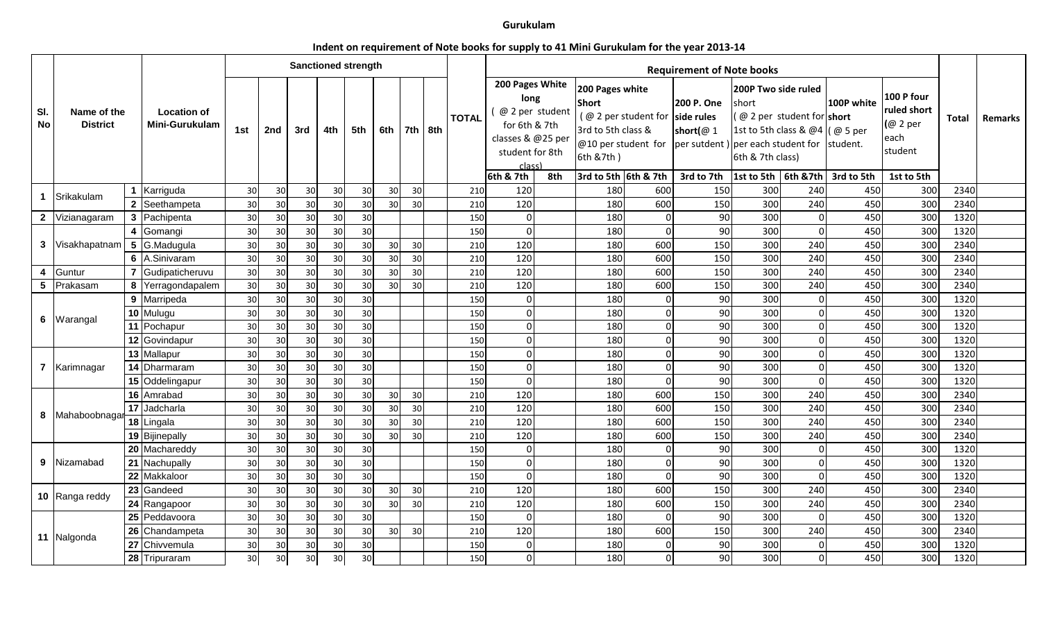## **Gurukulam**

## **Indent on requirement of Note books for supply to 41 Mini Gurukulam for the year 2013‐14**

|                  |                                |                 |                                             |     |     | <b>Sanctioned strength</b> |                 |     |     |                 |            |              |                                                                                                                            |     |                                                                                            |          | <b>Requirement of Note books</b>                                                                                                                 |                                                                                                  |                                       |                          |                                                                        |              |         |
|------------------|--------------------------------|-----------------|---------------------------------------------|-----|-----|----------------------------|-----------------|-----|-----|-----------------|------------|--------------|----------------------------------------------------------------------------------------------------------------------------|-----|--------------------------------------------------------------------------------------------|----------|--------------------------------------------------------------------------------------------------------------------------------------------------|--------------------------------------------------------------------------------------------------|---------------------------------------|--------------------------|------------------------------------------------------------------------|--------------|---------|
| SI.<br><b>No</b> | Name of the<br><b>District</b> |                 | <b>Location of</b><br><b>Mini-Gurukulam</b> | 1st | 2nd | 3rd                        | 4th             | 5th | 6th |                 | 7th $ 8th$ | <b>TOTAL</b> | 200 Pages White<br>long<br>@ 2 per student<br>for 6th & 7th<br>classes & @25 per<br>student for 8th<br>class)<br>6th & 7th | 8th | 200 Pages white<br><b>Short</b><br>3rd to 5th class &<br>6th &7th)<br>3rd to 5th 6th & 7th |          | 200 P. One<br>(@ 2 per student for side rules<br>short( $@1$<br>@10 per student for $ per$ sutdent ) per each student for student.<br>3rd to 7th | 200P Two side ruled<br>short<br>1st to 5th class & @4 (@ 5 per<br>6th & 7th class)<br>1st to 5th | @ 2 per student for short<br>6th &7th | 100P white<br>3rd to 5th | 100 P four<br>ruled short<br>(@ 2 per<br>each<br>student<br>1st to 5th | <b>Total</b> | Remarks |
|                  |                                |                 | 1 Karriguda                                 | 30  | 30  | 30                         | 30              | 30  | 30  | 30              |            | 210          | 120                                                                                                                        |     | 180                                                                                        | 600      | 150                                                                                                                                              | 300                                                                                              | 240                                   | 450                      | 300                                                                    | 2340         |         |
| $\mathbf 1$      | Srikakulam                     | $\overline{2}$  | Seethampeta                                 | 30  | 30  | 30                         | 30              | 30  | 30  | 30              |            | 210          | 120                                                                                                                        |     | 180                                                                                        | 600      | 150                                                                                                                                              | 300                                                                                              | 240                                   | 450                      | 300                                                                    | 2340         |         |
|                  | 2 Vizianagaram                 | $\mathbf{3}$    | Pachipenta                                  | 30  | 30  | 30                         | 30              | 30  |     |                 |            | 150          | $\Omega$                                                                                                                   |     | 180                                                                                        | $\Omega$ | 90                                                                                                                                               | 300                                                                                              | $\Omega$                              | 450                      | 300                                                                    | 1320         |         |
|                  |                                | 4               | Gomangi                                     | 30  | 30  | 30                         | 30 <sup>l</sup> | 30  |     |                 |            | 150          | $\Omega$                                                                                                                   |     | 180                                                                                        | $\Omega$ | 90                                                                                                                                               | 300                                                                                              | $\Omega$                              | 450                      | 300                                                                    | 1320         |         |
|                  | 3 Visakhapatnam 5 G.Madugula   |                 |                                             | 30  | 30  | 30                         | 30              | 30  | 30  | 30 <sup>l</sup> |            | 210          | 120                                                                                                                        |     | 180                                                                                        | 600      | 150                                                                                                                                              | 300                                                                                              | 240                                   | 450                      | 300                                                                    | 2340         |         |
|                  |                                | 6               | A.Sinivaram                                 | 30  | 30  | 30                         | 30              | 30  | 30  | 30 <sup>1</sup> |            | 210          | 120                                                                                                                        |     | 180                                                                                        | 600      | 150                                                                                                                                              | 300                                                                                              | 240                                   | 450                      | 300                                                                    | 2340         |         |
| 4                | Guntur                         | $\overline{7}$  | Gudipaticheruvu                             | 30  | 30  | 30                         | 30              | 30  | 30  | 30              |            | 210          | 120                                                                                                                        |     | 180                                                                                        | 600      | 150                                                                                                                                              | 300                                                                                              | 240                                   | 450                      | 300                                                                    | 2340         |         |
| 5                | Prakasam                       | 8               | Yerragondapalem                             | 30  | 30  | 30                         | 30              | 30  | 30  | 30              |            | 210          | 120                                                                                                                        |     | 180                                                                                        | 600      | 150                                                                                                                                              | 300                                                                                              | 240                                   | 450                      | 300                                                                    | 2340         |         |
|                  |                                | 9               | Marripeda                                   | 30  | 30  | 30                         | 30              | 30  |     |                 |            | 150          | $\Omega$                                                                                                                   |     | 180                                                                                        | $\Omega$ | 90                                                                                                                                               | 300                                                                                              | $\Omega$                              | 450                      | 300                                                                    | 1320         |         |
|                  | 6 Warangal                     |                 | 10 Mulugu                                   | 30  | 30  | 30                         | 30              | 30  |     |                 |            | 150          | $\Omega$                                                                                                                   |     | 180                                                                                        | $\Omega$ | 90                                                                                                                                               | 300                                                                                              | $\Omega$                              | 450                      | 300                                                                    | 1320         |         |
|                  |                                |                 | 11 Pochapur                                 | 30  | 30  | 30                         | 30              | 30  |     |                 |            | 150          | $\Omega$                                                                                                                   |     | 180                                                                                        | $\Omega$ | 90                                                                                                                                               | 300                                                                                              | $\Omega$                              | 450                      | 300                                                                    | 1320         |         |
|                  |                                |                 | 12 Govindapur                               | 30  | 30  | 30                         | 30              | 30  |     |                 |            | 150          | $\Omega$                                                                                                                   |     | 180                                                                                        | $\Omega$ | 90                                                                                                                                               | 300                                                                                              | $\Omega$                              | 450                      | 300                                                                    | 1320         |         |
|                  |                                |                 | 13 Mallapur                                 | 30  | 30  | 30                         | 30              | 30  |     |                 |            | 150          | $\Omega$                                                                                                                   |     | 180                                                                                        | $\Omega$ | 90                                                                                                                                               | 300                                                                                              | $\Omega$                              | 450                      | 300                                                                    | 1320         |         |
|                  | 7 Karimnagar                   |                 | 14 Dharmaram                                | 30  | 30  | 30                         | 30              | 30  |     |                 |            | 150          | $\Omega$                                                                                                                   |     | 180                                                                                        | $\Omega$ | 90                                                                                                                                               | 300                                                                                              | $\Omega$                              | 450                      | 300                                                                    | 1320         |         |
|                  |                                |                 | 15 Oddelingapur                             | 30  | 30  | 30                         | 30 <sup>l</sup> | 30  |     |                 |            | 150          | $\Omega$                                                                                                                   |     | 180                                                                                        | $\Omega$ | 90                                                                                                                                               | 300                                                                                              | $\Omega$                              | 450                      | 300                                                                    | 1320         |         |
|                  |                                |                 | 16 Amrabad                                  | 30  | 30  | 30                         | 30              | 30  | 30  | 30              |            | 210          | 120                                                                                                                        |     | 180                                                                                        | 600      | 150                                                                                                                                              | 300                                                                                              | 240                                   | 450                      | 300                                                                    | 2340         |         |
|                  | 8 Mahaboobnaga                 | 17              | Jadcharla                                   | 30  | 30  | 30                         | 30              | 30  | 30  | 30              |            | 210          | 120                                                                                                                        |     | 180                                                                                        | 600      | 150                                                                                                                                              | 300                                                                                              | 240                                   | 450                      | 300                                                                    | 2340         |         |
|                  |                                |                 | 18 Lingala                                  | 30  | 30  | 30                         | 30              | 30  | 30  | 30 <sup>1</sup> |            | 210          | 120                                                                                                                        |     | 180                                                                                        | 600      | 150                                                                                                                                              | 300                                                                                              | 240                                   | 450                      | 300                                                                    | 2340         |         |
|                  |                                |                 | 19 Bijinepally                              | 30  | 30  | 30                         | 30              | 30  | 30  | 30              |            | 210          | 120                                                                                                                        |     | 180                                                                                        | 600      | 150                                                                                                                                              | 300                                                                                              | 240                                   | 450                      | 300                                                                    | 2340         |         |
|                  |                                |                 | 20 Machareddy                               | 30  | 30  | 30                         | 30 <sup>l</sup> | 30  |     |                 |            | 150          | $\Omega$                                                                                                                   |     | 180                                                                                        | $\Omega$ | 90                                                                                                                                               | 300                                                                                              | $\Omega$                              | 450                      | 300                                                                    | 1320         |         |
|                  | 9 Nizamabad                    |                 | 21 Nachupally                               | 30  | 30  | 30                         | 30              | 30  |     |                 |            | 150          | $\Omega$                                                                                                                   |     | 180                                                                                        | $\Omega$ | 90                                                                                                                                               | 300                                                                                              | $\Omega$                              | 450                      | 300                                                                    | 1320         |         |
|                  |                                |                 | 22 Makkaloor                                | 30  | 30  | 30                         | 30              | 30  |     |                 |            | 150          | $\Omega$                                                                                                                   |     | 180                                                                                        | $\Omega$ | 90                                                                                                                                               | 300                                                                                              | $\Omega$                              | 450                      | 300                                                                    | 1320         |         |
|                  | 10 Ranga reddy                 | 23              | Gandeed                                     | 30  | 30  | 30                         | 30              | 30  | 30  | 30 <sup>l</sup> |            | 210          | 120                                                                                                                        |     | 180                                                                                        | 600      | 150                                                                                                                                              | 300                                                                                              | 240                                   | 450                      | 300                                                                    | 2340         |         |
|                  |                                |                 | 24 Rangapoor                                | 30  | 30  | 30                         | 30              | 30  | 30  | 30 <sup>1</sup> |            | 210          | 120                                                                                                                        |     | 180                                                                                        | 600      | 150                                                                                                                                              | 300                                                                                              | 240                                   | 450                      | 300                                                                    | 2340         |         |
|                  |                                | 25 <sub>1</sub> | Peddavoora                                  | 30  | 30  | 30                         | 30              | 30  |     |                 |            | 150          | $\Omega$                                                                                                                   |     | 180                                                                                        | $\Omega$ | 90                                                                                                                                               | 300                                                                                              | $\Omega$                              | 450                      | 300                                                                    | 1320         |         |
|                  | 11 Nalgonda                    | 26              | Chandampeta                                 | 30  | 30  | 30                         | 30              | 30  | 30  | 30              |            | 210          | 120                                                                                                                        |     | 180                                                                                        | 600      | 150                                                                                                                                              | 300                                                                                              | 240                                   | 450                      | 300                                                                    | 2340         |         |
|                  |                                | 27              | Chivvemula                                  | 30  | 30  | 30                         | 30              | 30  |     |                 |            | 150          | $\Omega$                                                                                                                   |     | 180                                                                                        | $\Omega$ | 90                                                                                                                                               | 300                                                                                              | $\Omega$                              | 450                      | 300                                                                    | 1320         |         |
|                  |                                |                 | 28 Tripuraram                               | 30  | 30  | 30                         | 30              | 30  |     |                 |            | 150          | $\Omega$                                                                                                                   |     | 180                                                                                        | $\Omega$ | 90                                                                                                                                               | 300                                                                                              | $\Omega$                              | 450                      | 300                                                                    | 1320         |         |